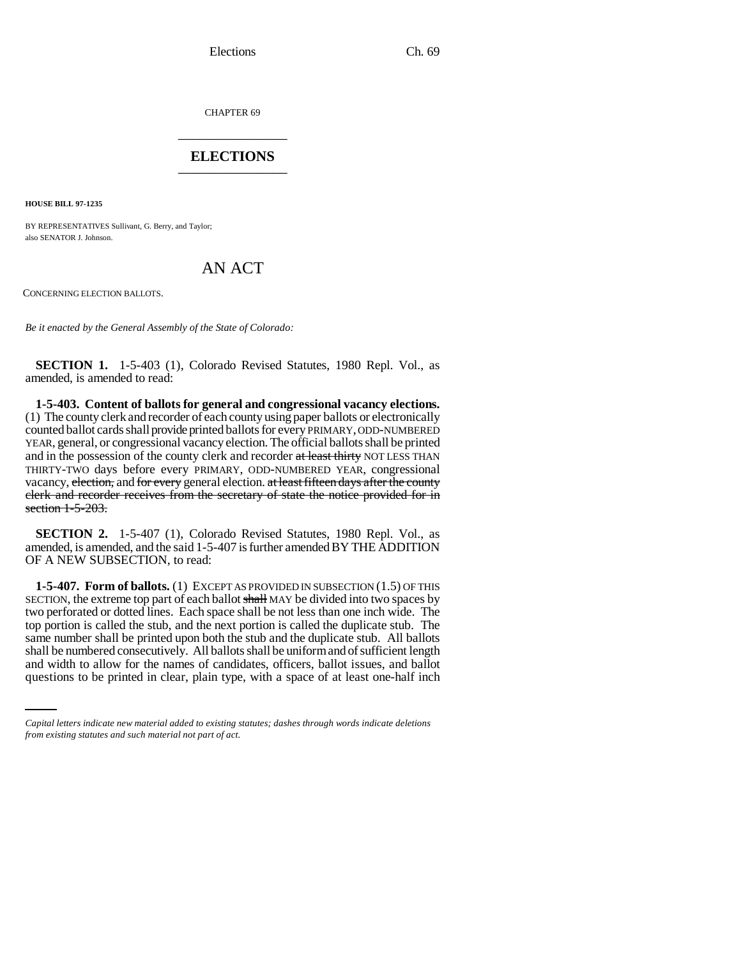Elections Ch. 69

CHAPTER 69 \_\_\_\_\_\_\_\_\_\_\_\_\_\_\_

# **ELECTIONS** \_\_\_\_\_\_\_\_\_\_\_\_\_\_\_

**HOUSE BILL 97-1235**

BY REPRESENTATIVES Sullivant, G. Berry, and Taylor; also SENATOR J. Johnson.

# AN ACT

CONCERNING ELECTION BALLOTS.

*Be it enacted by the General Assembly of the State of Colorado:*

**SECTION 1.** 1-5-403 (1), Colorado Revised Statutes, 1980 Repl. Vol., as amended, is amended to read:

**1-5-403. Content of ballots for general and congressional vacancy elections.** (1) The county clerk and recorder of each county using paper ballots or electronically counted ballot cards shall provide printed ballots for every PRIMARY, ODD-NUMBERED YEAR, general, or congressional vacancy election. The official ballots shall be printed and in the possession of the county clerk and recorder at least thirty NOT LESS THAN THIRTY-TWO days before every PRIMARY, ODD-NUMBERED YEAR, congressional vacancy, election, and for every general election. at least fifteen days after the county clerk and recorder receives from the secretary of state the notice provided for in section 1-5-203.

**SECTION 2.** 1-5-407 (1), Colorado Revised Statutes, 1980 Repl. Vol., as amended, is amended, and the said 1-5-407 is further amended BY THE ADDITION OF A NEW SUBSECTION, to read:

shall be numbered consecutively. All ballots shall be uniform and of sufficient length **1-5-407. Form of ballots.** (1) EXCEPT AS PROVIDED IN SUBSECTION (1.5) OF THIS SECTION, the extreme top part of each ballot shall MAY be divided into two spaces by two perforated or dotted lines. Each space shall be not less than one inch wide. The top portion is called the stub, and the next portion is called the duplicate stub. The same number shall be printed upon both the stub and the duplicate stub. All ballots and width to allow for the names of candidates, officers, ballot issues, and ballot questions to be printed in clear, plain type, with a space of at least one-half inch

*Capital letters indicate new material added to existing statutes; dashes through words indicate deletions from existing statutes and such material not part of act.*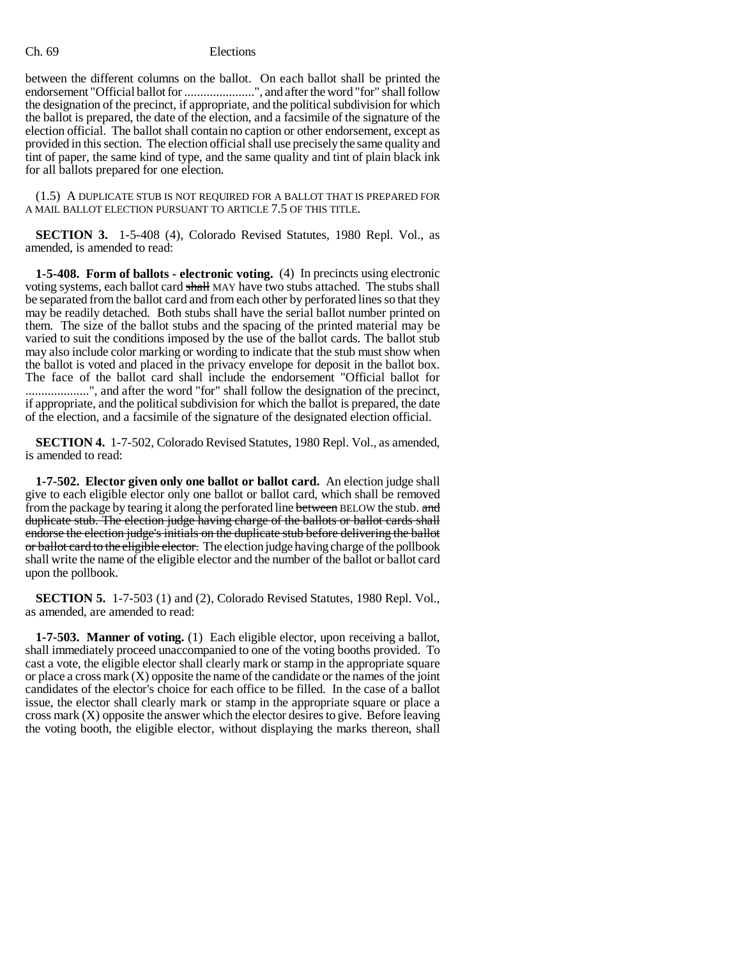### Ch. 69 Elections

between the different columns on the ballot. On each ballot shall be printed the endorsement "Official ballot for ......................", and after the word "for" shall follow the designation of the precinct, if appropriate, and the political subdivision for which the ballot is prepared, the date of the election, and a facsimile of the signature of the election official. The ballot shall contain no caption or other endorsement, except as provided in this section. The election official shall use precisely the same quality and tint of paper, the same kind of type, and the same quality and tint of plain black ink for all ballots prepared for one election.

(1.5) A DUPLICATE STUB IS NOT REQUIRED FOR A BALLOT THAT IS PREPARED FOR A MAIL BALLOT ELECTION PURSUANT TO ARTICLE 7.5 OF THIS TITLE.

**SECTION 3.** 1-5-408 (4), Colorado Revised Statutes, 1980 Repl. Vol., as amended, is amended to read:

**1-5-408. Form of ballots - electronic voting.** (4) In precincts using electronic voting systems, each ballot card shall MAY have two stubs attached. The stubs shall be separated from the ballot card and from each other by perforated lines so that they may be readily detached. Both stubs shall have the serial ballot number printed on them. The size of the ballot stubs and the spacing of the printed material may be varied to suit the conditions imposed by the use of the ballot cards. The ballot stub may also include color marking or wording to indicate that the stub must show when the ballot is voted and placed in the privacy envelope for deposit in the ballot box. The face of the ballot card shall include the endorsement "Official ballot for ....................", and after the word "for" shall follow the designation of the precinct, if appropriate, and the political subdivision for which the ballot is prepared, the date of the election, and a facsimile of the signature of the designated election official.

**SECTION 4.** 1-7-502, Colorado Revised Statutes, 1980 Repl. Vol., as amended, is amended to read:

**1-7-502. Elector given only one ballot or ballot card.** An election judge shall give to each eligible elector only one ballot or ballot card, which shall be removed from the package by tearing it along the perforated line between BELOW the stub. and duplicate stub. The election judge having charge of the ballots or ballot cards shall endorse the election judge's initials on the duplicate stub before delivering the ballot or ballot card to the eligible elector. The election judge having charge of the pollbook shall write the name of the eligible elector and the number of the ballot or ballot card upon the pollbook.

**SECTION 5.** 1-7-503 (1) and (2), Colorado Revised Statutes, 1980 Repl. Vol., as amended, are amended to read:

**1-7-503. Manner of voting.** (1) Each eligible elector, upon receiving a ballot, shall immediately proceed unaccompanied to one of the voting booths provided. To cast a vote, the eligible elector shall clearly mark or stamp in the appropriate square or place a cross mark (X) opposite the name of the candidate or the names of the joint candidates of the elector's choice for each office to be filled. In the case of a ballot issue, the elector shall clearly mark or stamp in the appropriate square or place a cross mark (X) opposite the answer which the elector desires to give. Before leaving the voting booth, the eligible elector, without displaying the marks thereon, shall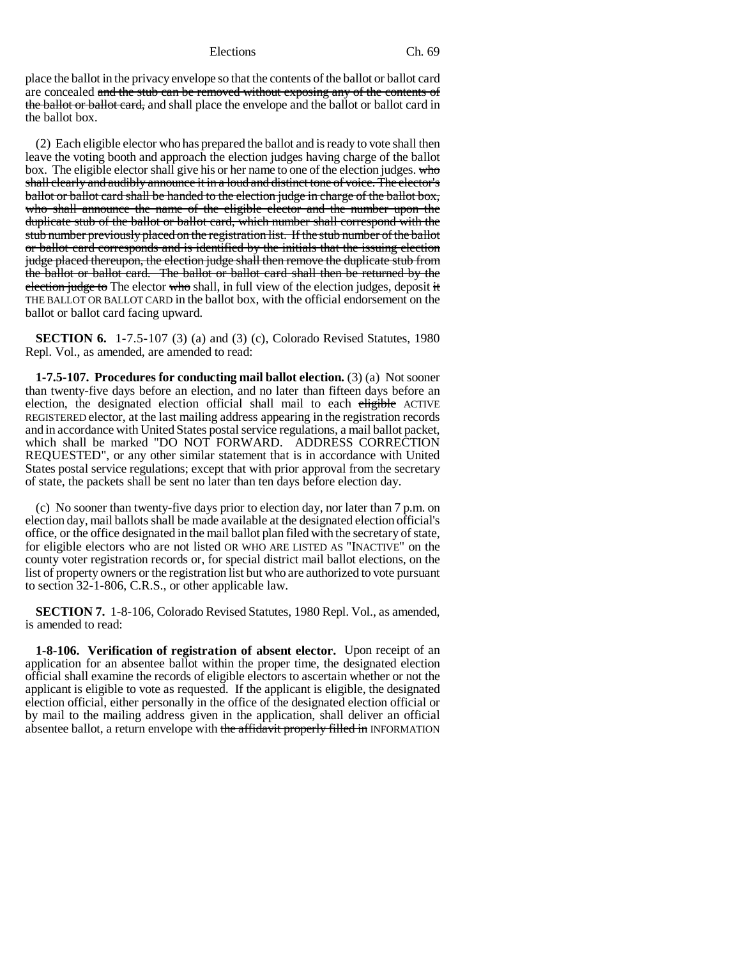Elections Ch. 69

place the ballot in the privacy envelope so that the contents of the ballot or ballot card are concealed and the stub can be removed without exposing any of the contents of the ballot or ballot card, and shall place the envelope and the ballot or ballot card in the ballot box.

(2) Each eligible elector who has prepared the ballot and is ready to vote shall then leave the voting booth and approach the election judges having charge of the ballot box. The eligible elector shall give his or her name to one of the election judges. who shall clearly and audibly announce it in a loud and distinct tone of voice. The elector's ballot or ballot card shall be handed to the election judge in charge of the ballot box, who shall announce the name of the eligible elector and the number upon the duplicate stub of the ballot or ballot card, which number shall correspond with the stub number previously placed on the registration list. If the stub number of the ballot or ballot card corresponds and is identified by the initials that the issuing election judge placed thereupon, the election judge shall then remove the duplicate stub from the ballot or ballot card. The ballot or ballot card shall then be returned by the election judge to The elector who shall, in full view of the election judges, deposit it THE BALLOT OR BALLOT CARD in the ballot box, with the official endorsement on the ballot or ballot card facing upward.

**SECTION 6.** 1-7.5-107 (3) (a) and (3) (c), Colorado Revised Statutes, 1980 Repl. Vol., as amended, are amended to read:

**1-7.5-107. Procedures for conducting mail ballot election.** (3) (a) Not sooner than twenty-five days before an election, and no later than fifteen days before an election, the designated election official shall mail to each eligible ACTIVE REGISTERED elector, at the last mailing address appearing in the registration records and in accordance with United States postal service regulations, a mail ballot packet, which shall be marked "DO NOT FORWARD. ADDRESS CORRECTION REQUESTED", or any other similar statement that is in accordance with United States postal service regulations; except that with prior approval from the secretary of state, the packets shall be sent no later than ten days before election day.

(c) No sooner than twenty-five days prior to election day, nor later than 7 p.m. on election day, mail ballots shall be made available at the designated election official's office, or the office designated in the mail ballot plan filed with the secretary of state, for eligible electors who are not listed OR WHO ARE LISTED AS "INACTIVE" on the county voter registration records or, for special district mail ballot elections, on the list of property owners or the registration list but who are authorized to vote pursuant to section 32-1-806, C.R.S., or other applicable law.

**SECTION 7.** 1-8-106, Colorado Revised Statutes, 1980 Repl. Vol., as amended, is amended to read:

**1-8-106. Verification of registration of absent elector.** Upon receipt of an application for an absentee ballot within the proper time, the designated election official shall examine the records of eligible electors to ascertain whether or not the applicant is eligible to vote as requested. If the applicant is eligible, the designated election official, either personally in the office of the designated election official or by mail to the mailing address given in the application, shall deliver an official absentee ballot, a return envelope with the affidavit properly filled in INFORMATION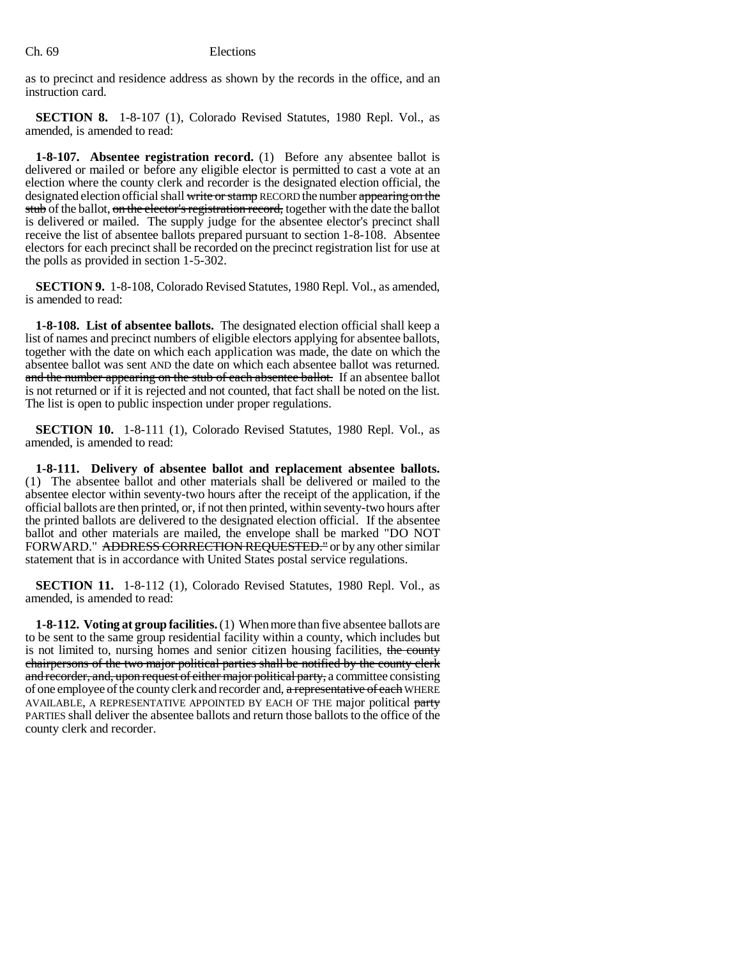as to precinct and residence address as shown by the records in the office, and an instruction card.

**SECTION 8.** 1-8-107 (1), Colorado Revised Statutes, 1980 Repl. Vol., as amended, is amended to read:

**1-8-107. Absentee registration record.** (1) Before any absentee ballot is delivered or mailed or before any eligible elector is permitted to cast a vote at an election where the county clerk and recorder is the designated election official, the designated election official shall write or stamp RECORD the number appearing on the stub of the ballot, on the elector's registration record, together with the date the ballot is delivered or mailed. The supply judge for the absentee elector's precinct shall receive the list of absentee ballots prepared pursuant to section 1-8-108. Absentee electors for each precinct shall be recorded on the precinct registration list for use at the polls as provided in section 1-5-302.

**SECTION 9.** 1-8-108, Colorado Revised Statutes, 1980 Repl. Vol., as amended, is amended to read:

**1-8-108. List of absentee ballots.** The designated election official shall keep a list of names and precinct numbers of eligible electors applying for absentee ballots, together with the date on which each application was made, the date on which the absentee ballot was sent AND the date on which each absentee ballot was returned. and the number appearing on the stub of each absentee ballot. If an absentee ballot is not returned or if it is rejected and not counted, that fact shall be noted on the list. The list is open to public inspection under proper regulations.

**SECTION 10.** 1-8-111 (1), Colorado Revised Statutes, 1980 Repl. Vol., as amended, is amended to read:

**1-8-111. Delivery of absentee ballot and replacement absentee ballots.** (1) The absentee ballot and other materials shall be delivered or mailed to the absentee elector within seventy-two hours after the receipt of the application, if the official ballots are then printed, or, if not then printed, within seventy-two hours after the printed ballots are delivered to the designated election official. If the absentee ballot and other materials are mailed, the envelope shall be marked "DO NOT FORWARD." ADDRESS CORRECTION REQUESTED." or by any other similar statement that is in accordance with United States postal service regulations.

**SECTION 11.** 1-8-112 (1), Colorado Revised Statutes, 1980 Repl. Vol., as amended, is amended to read:

**1-8-112. Voting at group facilities.** (1) When more than five absentee ballots are to be sent to the same group residential facility within a county, which includes but is not limited to, nursing homes and senior citizen housing facilities, the county chairpersons of the two major political parties shall be notified by the county clerk and recorder, and, upon request of either major political party, a committee consisting of one employee of the county clerk and recorder and, a representative of each WHERE AVAILABLE, A REPRESENTATIVE APPOINTED BY EACH OF THE major political party PARTIES shall deliver the absentee ballots and return those ballots to the office of the county clerk and recorder.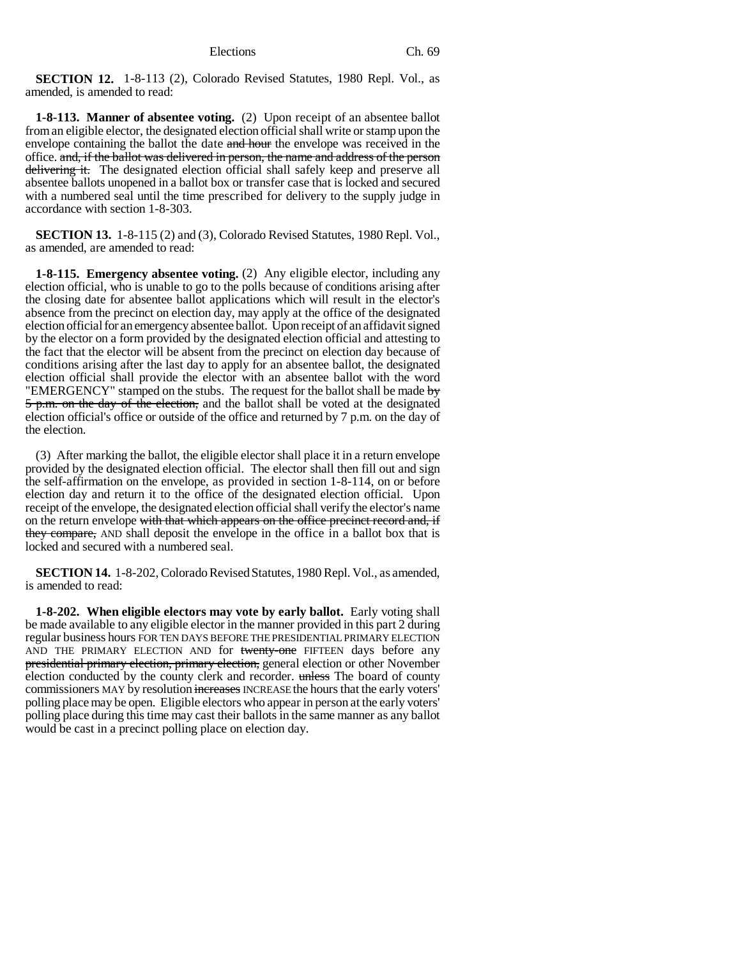**SECTION 12.** 1-8-113 (2), Colorado Revised Statutes, 1980 Repl. Vol., as amended, is amended to read:

**1-8-113. Manner of absentee voting.** (2) Upon receipt of an absentee ballot from an eligible elector, the designated election official shall write or stamp upon the envelope containing the ballot the date and hour the envelope was received in the office. and, if the ballot was delivered in person, the name and address of the person delivering it. The designated election official shall safely keep and preserve all absentee ballots unopened in a ballot box or transfer case that is locked and secured with a numbered seal until the time prescribed for delivery to the supply judge in accordance with section 1-8-303.

**SECTION 13.** 1-8-115 (2) and (3), Colorado Revised Statutes, 1980 Repl. Vol., as amended, are amended to read:

**1-8-115. Emergency absentee voting.** (2) Any eligible elector, including any election official, who is unable to go to the polls because of conditions arising after the closing date for absentee ballot applications which will result in the elector's absence from the precinct on election day, may apply at the office of the designated election official for an emergency absentee ballot. Upon receipt of an affidavit signed by the elector on a form provided by the designated election official and attesting to the fact that the elector will be absent from the precinct on election day because of conditions arising after the last day to apply for an absentee ballot, the designated election official shall provide the elector with an absentee ballot with the word "EMERGENCY" stamped on the stubs. The request for the ballot shall be made  $\frac{1}{2}$ 5 p.m. on the day of the election, and the ballot shall be voted at the designated election official's office or outside of the office and returned by 7 p.m. on the day of the election.

(3) After marking the ballot, the eligible elector shall place it in a return envelope provided by the designated election official. The elector shall then fill out and sign the self-affirmation on the envelope, as provided in section 1-8-114, on or before election day and return it to the office of the designated election official. Upon receipt of the envelope, the designated election official shall verify the elector's name on the return envelope with that which appears on the office precinct record and, if they compare, AND shall deposit the envelope in the office in a ballot box that is locked and secured with a numbered seal.

**SECTION 14.** 1-8-202, Colorado Revised Statutes, 1980 Repl. Vol., as amended, is amended to read:

**1-8-202. When eligible electors may vote by early ballot.** Early voting shall be made available to any eligible elector in the manner provided in this part 2 during regular business hours FOR TEN DAYS BEFORE THE PRESIDENTIAL PRIMARY ELECTION AND THE PRIMARY ELECTION AND for twenty-one FIFTEEN days before any presidential primary election, primary election, general election or other November election conducted by the county clerk and recorder. unless The board of county commissioners MAY by resolution increases INCREASE the hours that the early voters' polling place may be open. Eligible electors who appear in person at the early voters' polling place during this time may cast their ballots in the same manner as any ballot would be cast in a precinct polling place on election day.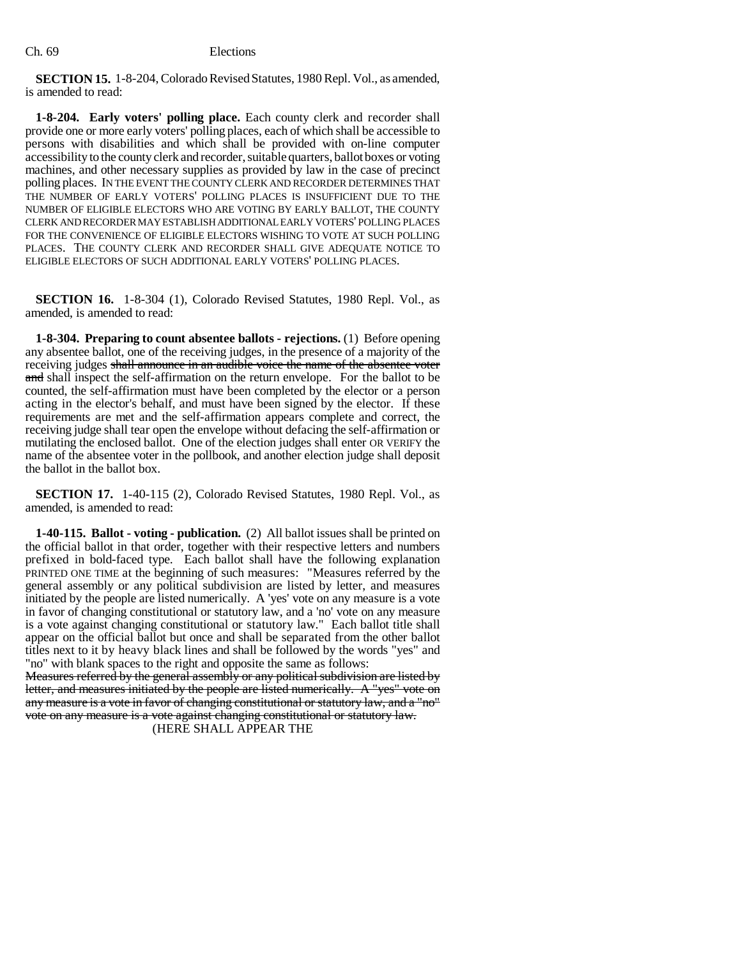**SECTION 15.** 1-8-204, Colorado Revised Statutes, 1980 Repl. Vol., as amended, is amended to read:

**1-8-204. Early voters' polling place.** Each county clerk and recorder shall provide one or more early voters' polling places, each of which shall be accessible to persons with disabilities and which shall be provided with on-line computer accessibility to the county clerk and recorder, suitable quarters, ballot boxes or voting machines, and other necessary supplies as provided by law in the case of precinct polling places. IN THE EVENT THE COUNTY CLERK AND RECORDER DETERMINES THAT THE NUMBER OF EARLY VOTERS' POLLING PLACES IS INSUFFICIENT DUE TO THE NUMBER OF ELIGIBLE ELECTORS WHO ARE VOTING BY EARLY BALLOT, THE COUNTY CLERK AND RECORDER MAY ESTABLISH ADDITIONAL EARLY VOTERS' POLLING PLACES FOR THE CONVENIENCE OF ELIGIBLE ELECTORS WISHING TO VOTE AT SUCH POLLING PLACES. THE COUNTY CLERK AND RECORDER SHALL GIVE ADEQUATE NOTICE TO ELIGIBLE ELECTORS OF SUCH ADDITIONAL EARLY VOTERS' POLLING PLACES.

**SECTION 16.** 1-8-304 (1), Colorado Revised Statutes, 1980 Repl. Vol., as amended, is amended to read:

**1-8-304. Preparing to count absentee ballots - rejections.** (1) Before opening any absentee ballot, one of the receiving judges, in the presence of a majority of the receiving judges shall announce in an audible voice the name of the absentee voter and shall inspect the self-affirmation on the return envelope. For the ballot to be counted, the self-affirmation must have been completed by the elector or a person acting in the elector's behalf, and must have been signed by the elector. If these requirements are met and the self-affirmation appears complete and correct, the receiving judge shall tear open the envelope without defacing the self-affirmation or mutilating the enclosed ballot. One of the election judges shall enter OR VERIFY the name of the absentee voter in the pollbook, and another election judge shall deposit the ballot in the ballot box.

**SECTION 17.** 1-40-115 (2), Colorado Revised Statutes, 1980 Repl. Vol., as amended, is amended to read:

**1-40-115. Ballot - voting - publication.** (2) All ballot issues shall be printed on the official ballot in that order, together with their respective letters and numbers prefixed in bold-faced type. Each ballot shall have the following explanation PRINTED ONE TIME at the beginning of such measures: "Measures referred by the general assembly or any political subdivision are listed by letter, and measures initiated by the people are listed numerically. A 'yes' vote on any measure is a vote in favor of changing constitutional or statutory law, and a 'no' vote on any measure is a vote against changing constitutional or statutory law." Each ballot title shall appear on the official ballot but once and shall be separated from the other ballot titles next to it by heavy black lines and shall be followed by the words "yes" and "no" with blank spaces to the right and opposite the same as follows:

Measures referred by the general assembly or any political subdivision are listed by letter, and measures initiated by the people are listed numerically. A "yes" vote on any measure is a vote in favor of changing constitutional or statutory law, and a "no" vote on any measure is a vote against changing constitutional or statutory law.

(HERE SHALL APPEAR THE